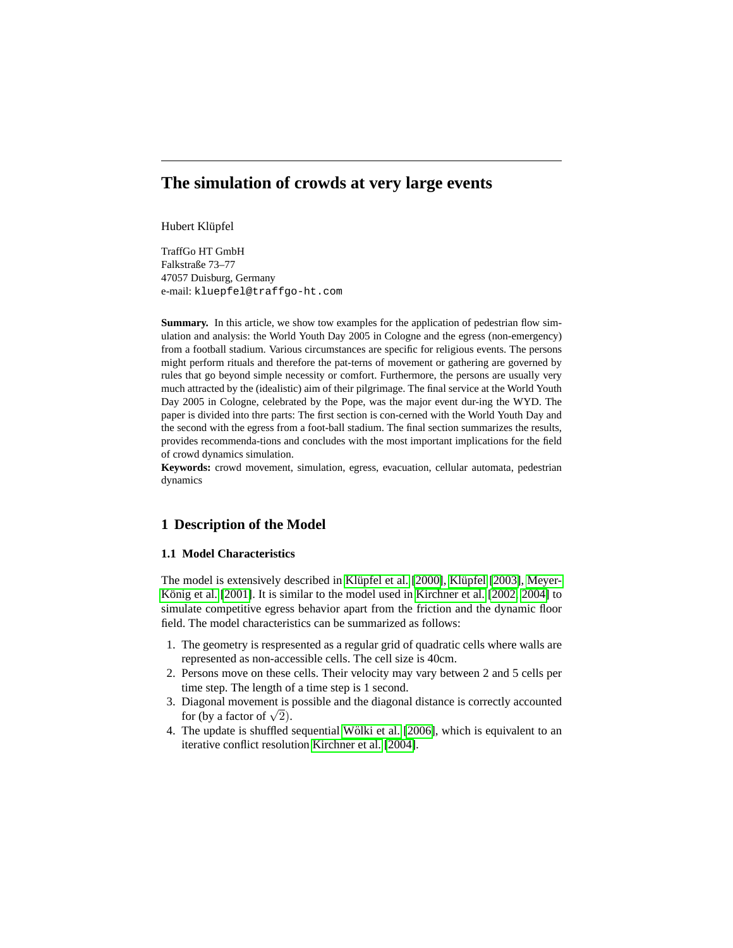# **The simulation of crowds at very large events**

Hubert Klüpfel

TraffGo HT GmbH Falkstraße 73–77 47057 Duisburg, Germany e-mail: kluepfel@traffgo-ht.com

Summary. In this article, we show tow examples for the application of pedestrian flow simulation and analysis: the World Youth Day 2005 in Cologne and the egress (non-emergency) from a football stadium. Various circumstances are specific for religious events. The persons might perform rituals and therefore the pat-terns of movement or gathering are governed by rules that go beyond simple necessity or comfort. Furthermore, the persons are usually very much attracted by the (idealistic) aim of their pilgrimage. The final service at the World Youth Day 2005 in Cologne, celebrated by the Pope, was the major event dur-ing the WYD. The paper is divided into thre parts: The first section is con-cerned with the World Youth Day and the second with the egress from a foot-ball stadium. The final section summarizes the results, provides recommenda-tions and concludes with the most important implications for the field of crowd dynamics simulation.

**Keywords:** crowd movement, simulation, egress, evacuation, cellular automata, pedestrian dynamics

## **1 Description of the Model**

#### **1.1 Model Characteristics**

The model is extensively described in Klüpfel et al. [2000], Klüpfel [2003], [Meyer-](#page-5-2) König et al.  $[2001]$ . It is similar to the model used in Kirchner et al.  $[2002, 2004]$  $[2002, 2004]$  to simulate competitive egress behavior apart from the friction and the dynamic floor field. The model characteristics can be summarized as follows:

- 1. The geometry is respresented as a regular grid of quadratic cells where walls are represented as non-accessible cells. The cell size is 40cm.
- 2. Persons move on these cells. Their velocity may vary between 2 and 5 cells per time step. The length of a time step is 1 second.
- 3. Diagonal movement is possible and the diagonal distance is correctly accounted Diagonal movement is just be proved.
- 4. The update is shuffled sequential Wölki et al. [2006], which is equivalent to an iterative conflict resolution [Kirchner et al. \[2004\]](#page-5-4).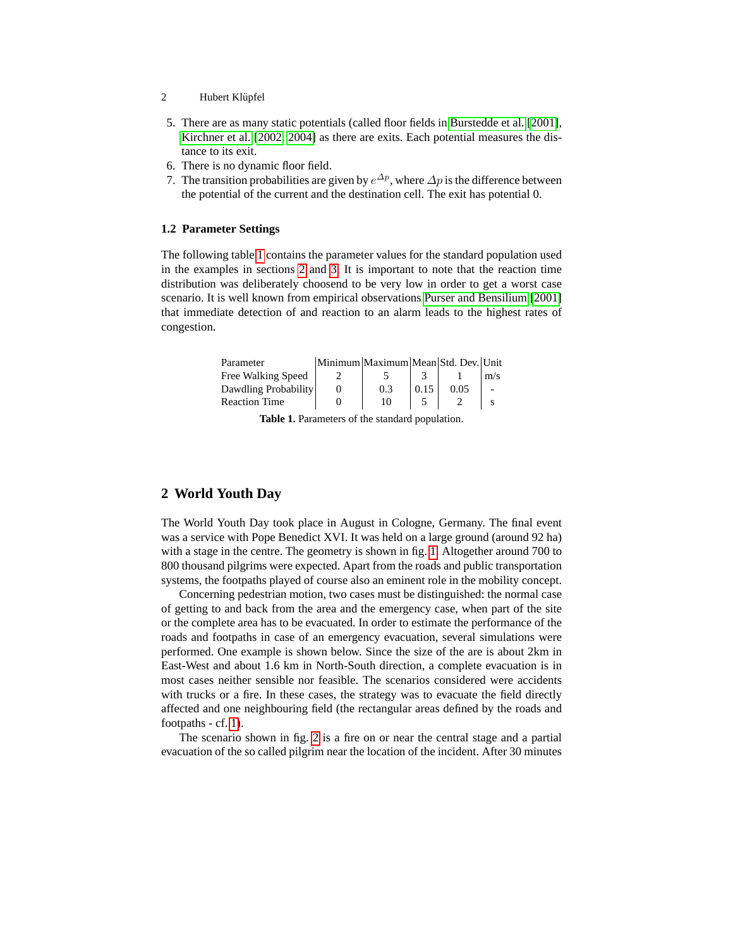- 2 Hubert Klüpfel
- 5. There are as many static potentials (called floor fields in [Burstedde et al.](#page-5-5) [\[2001\]](#page-5-5), [Kirchner et al.](#page-5-3) [\[2002,](#page-5-3) [2004\]](#page-5-4) as there are exits. Each potential measures the distance to its exit.
- 6. There is no dynamic floor field.
- 7. The transition probabilities are given by  $e^{\Delta p}$ , where  $\Delta p$  is the difference between the potential of the current and the destination cell. The exit has potential 0.

#### **1.2 Parameter Settings**

The following table [1](#page-1-0) contains the parameter values for the standard population used in the examples in sections [2](#page-1-1) and [3.](#page-3-0) It is important to note that the reaction time distribution was deliberately choosend to be very low in order to get a worst case scenario. It is well known from empirical observations [Purser and Bensilium \[2001\]](#page-6-1) that immediate detection of and reaction to an alarm leads to the highest rates of congestion.

| Parameter            | Minimum Maximum Mean Std. Dev. Unit |      |      |     |
|----------------------|-------------------------------------|------|------|-----|
| Free Walking Speed   |                                     |      |      | m/s |
| Dawdling Probability | 0.3                                 | 0.15 | 0.05 |     |
| <b>Reaction Time</b> | 10                                  |      |      |     |

<span id="page-1-0"></span>

| <b>Table 1.</b> Parameters of the standard population. |  |  |  |
|--------------------------------------------------------|--|--|--|
|--------------------------------------------------------|--|--|--|

# <span id="page-1-1"></span>**2 World Youth Day**

The World Youth Day took place in August in Cologne, Germany. The final event was a service with Pope Benedict XVI. It was held on a large ground (around 92 ha) with a stage in the centre. The geometry is shown in fig. [1.](#page-2-0) Altogether around 700 to 800 thousand pilgrims were expected. Apart from the roads and public transportation systems, the footpaths played of course also an eminent role in the mobility concept.

Concerning pedestrian motion, two cases must be distinguished: the normal case of getting to and back from the area and the emergency case, when part of the site or the complete area has to be evacuated. In order to estimate the performance of the roads and footpaths in case of an emergency evacuation, several simulations were performed. One example is shown below. Since the size of the are is about 2km in East-West and about 1.6 km in North-South direction, a complete evacuation is in most cases neither sensible nor feasible. The scenarios considered were accidents with trucks or a fire. In these cases, the strategy was to evacuate the field directly affected and one neighbouring field (the rectangular areas defined by the roads and footpaths - cf. [1\)](#page-2-0).

The scenario shown in fig. [2](#page-2-1) is a fire on or near the central stage and a partial evacuation of the so called pilgrim near the location of the incident. After 30 minutes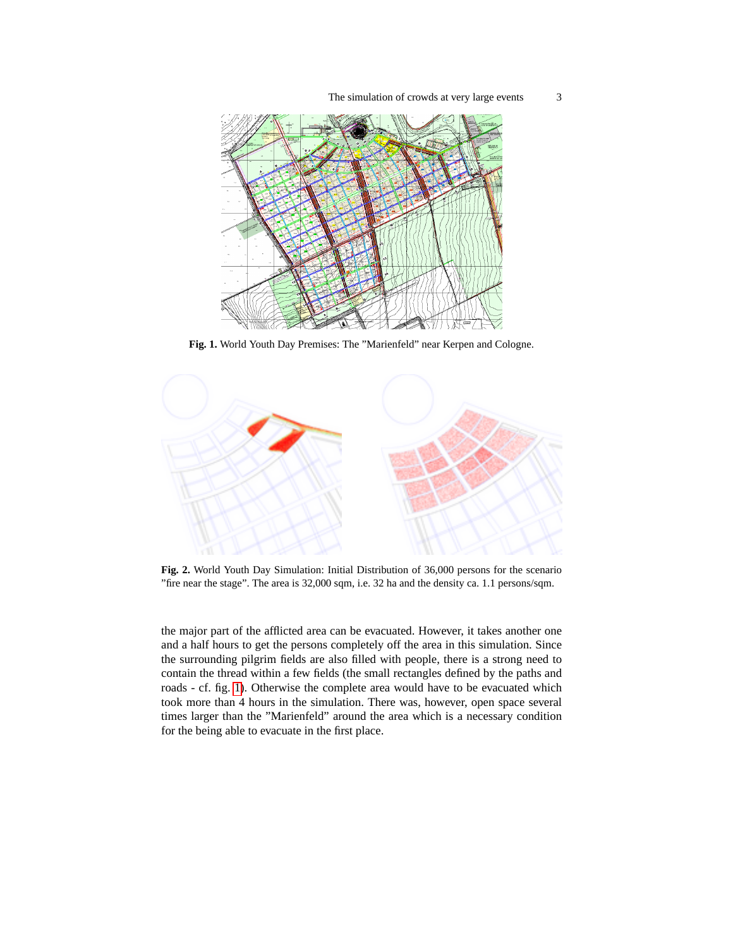The simulation of crowds at very large events 3



<span id="page-2-0"></span>**Fig. 1.** World Youth Day Premises: The "Marienfeld" near Kerpen and Cologne.



<span id="page-2-1"></span>**Fig. 2.** World Youth Day Simulation: Initial Distribution of 36,000 persons for the scenario "fire near the stage". The area is 32,000 sqm, i.e. 32 ha and the density ca. 1.1 persons/sqm.

the major part of the afflicted area can be evacuated. However, it takes another one and a half hours to get the persons completely off the area in this simulation. Since the surrounding pilgrim fields are also filled with people, there is a strong need to contain the thread within a few fields (the small rectangles defined by the paths and roads - cf. fig. [1\)](#page-2-0). Otherwise the complete area would have to be evacuated which took more than 4 hours in the simulation. There was, however, open space several times larger than the "Marienfeld" around the area which is a necessary condition for the being able to evacuate in the first place.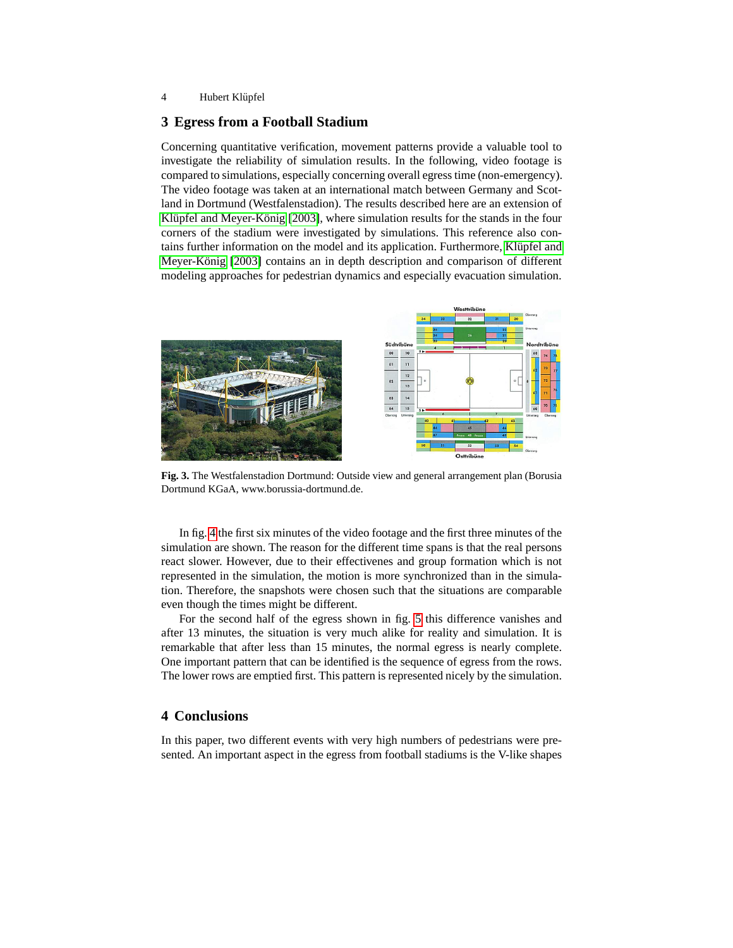#### 4 Hubert Klüpfel

### <span id="page-3-0"></span>**3 Egress from a Football Stadium**

Concerning quantitative verification, movement patterns provide a valuable tool to investigate the reliability of simulation results. In the following, video footage is compared to simulations, especially concerning overall egress time (non-emergency). The video footage was taken at an international match between Germany and Scotland in Dortmund (Westfalenstadion). The results described here are an extension of Klüpfel and Meyer-König [\[2003\]](#page-5-6), where simulation results for the stands in the four corners of the stadium were investigated by simulations. This reference also contains further information on the model and its application. Furthermore, Klüpfel and Meyer-König [2003] contains an in depth description and comparison of different modeling approaches for pedestrian dynamics and especially evacuation simulation.



**Fig. 3.** The Westfalenstadion Dortmund: Outside view and general arrangement plan (Borusia Dortmund KGaA, www.borussia-dortmund.de.

In fig. [4](#page-4-0) the first six minutes of the video footage and the first three minutes of the simulation are shown. The reason for the different time spans is that the real persons react slower. However, due to their effectivenes and group formation which is not represented in the simulation, the motion is more synchronized than in the simulation. Therefore, the snapshots were chosen such that the situations are comparable even though the times might be different.

For the second half of the egress shown in fig. [5](#page-4-1) this difference vanishes and after 13 minutes, the situation is very much alike for reality and simulation. It is remarkable that after less than 15 minutes, the normal egress is nearly complete. One important pattern that can be identified is the sequence of egress from the rows. The lower rows are emptied first. This pattern is represented nicely by the simulation.

#### **4 Conclusions**

In this paper, two different events with very high numbers of pedestrians were presented. An important aspect in the egress from football stadiums is the V-like shapes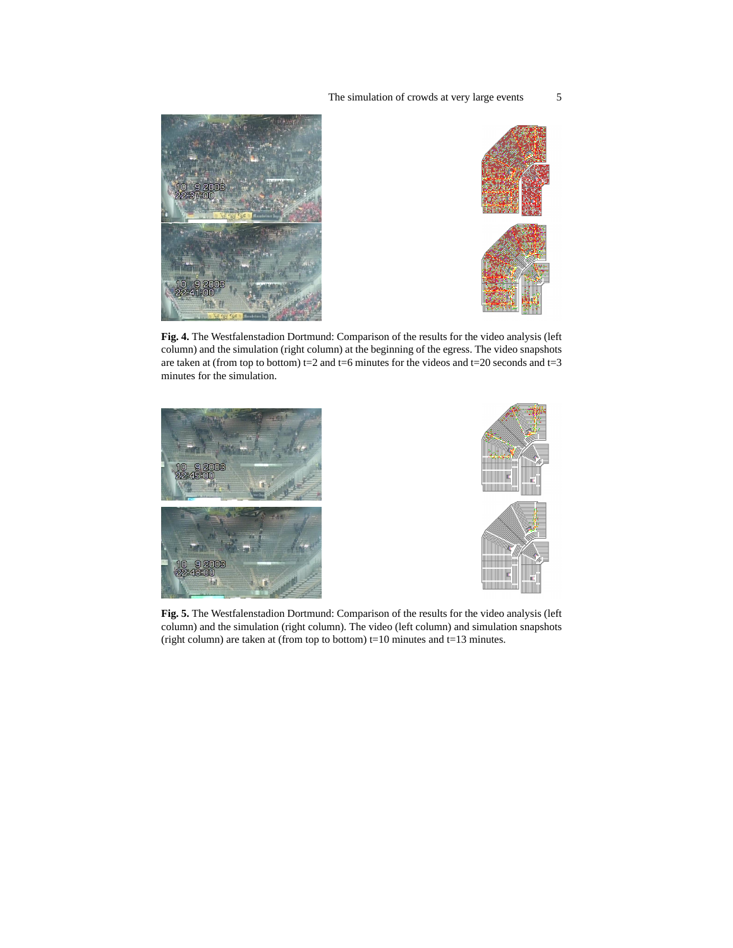



<span id="page-4-0"></span>**Fig. 4.** The Westfalenstadion Dortmund: Comparison of the results for the video analysis (left column) and the simulation (right column) at the beginning of the egress. The video snapshots are taken at (from top to bottom) t=2 and t=6 minutes for the videos and t=20 seconds and t=3 minutes for the simulation.





<span id="page-4-1"></span>**Fig. 5.** The Westfalenstadion Dortmund: Comparison of the results for the video analysis (left column) and the simulation (right column). The video (left column) and simulation snapshots (right column) are taken at (from top to bottom)  $t=10$  minutes and  $t=13$  minutes.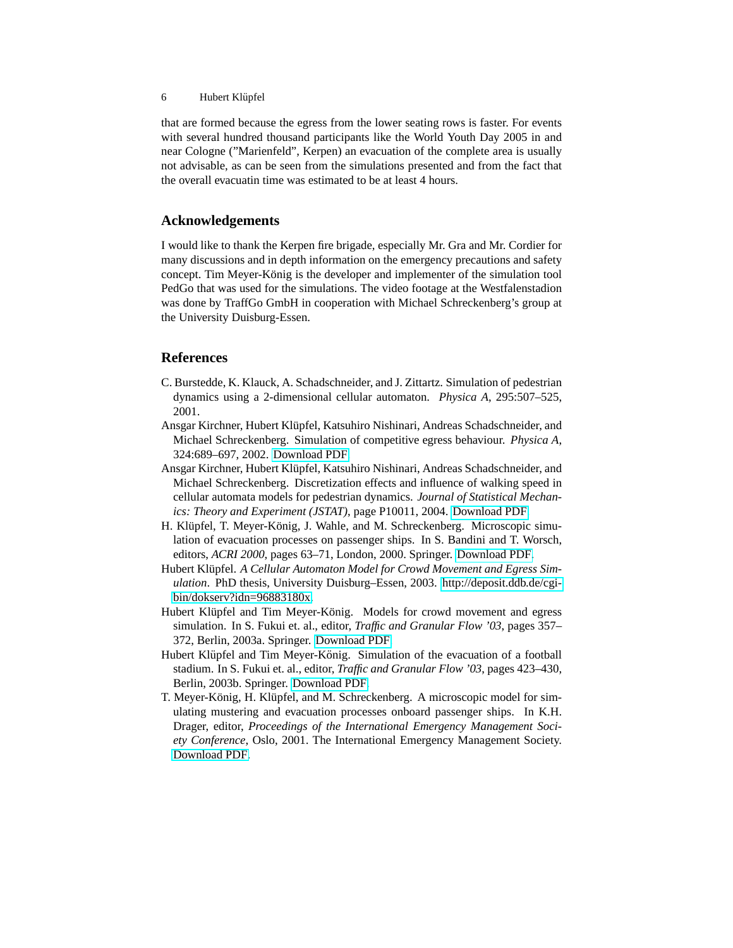that are formed because the egress from the lower seating rows is faster. For events with several hundred thousand participants like the World Youth Day 2005 in and near Cologne ("Marienfeld", Kerpen) an evacuation of the complete area is usually not advisable, as can be seen from the simulations presented and from the fact that the overall evacuatin time was estimated to be at least 4 hours.

# **Acknowledgements**

I would like to thank the Kerpen fire brigade, especially Mr. Gra and Mr. Cordier for many discussions and in depth information on the emergency precautions and safety concept. Tim Meyer-König is the developer and implementer of the simulation tool PedGo that was used for the simulations. The video footage at the Westfalenstadion was done by TraffGo GmbH in cooperation with Michael Schreckenberg's group at the University Duisburg-Essen.

### **References**

- <span id="page-5-5"></span>C. Burstedde, K. Klauck, A. Schadschneider, and J. Zittartz. Simulation of pedestrian dynamics using a 2-dimensional cellular automaton. *Physica A*, 295:507–525, 2001.
- <span id="page-5-3"></span>Ansgar Kirchner, Hubert Klupfel, Katsuhiro Nishinari, Andreas Schadschneider, and ¨ Michael Schreckenberg. Simulation of competitive egress behaviour. *Physica A*, 324:689–697, 2002. [Download PDF.](http://www.traffgo-ht.com/downloads/pedestrians/publications/Kirchner2002.pdf)
- <span id="page-5-4"></span>Ansgar Kirchner, Hubert Klüpfel, Katsuhiro Nishinari, Andreas Schadschneider, and Michael Schreckenberg. Discretization effects and influence of walking speed in cellular automata models for pedestrian dynamics. *Journal of Statistical Mechanics: Theory and Experiment (JSTAT)*, page P10011, 2004. [Download PDF.](http://www.traffgo-ht.com/downloads/pedestrians/publications/Kirchner2004.pdf)
- <span id="page-5-0"></span>H. Klüpfel, T. Meyer-König, J. Wahle, and M. Schreckenberg. Microscopic simulation of evacuation processes on passenger ships. In S. Bandini and T. Worsch, editors, *ACRI 2000*, pages 63–71, London, 2000. Springer. [Download PDF.](http://www.traffgo-ht.com/downloads/pedestrians/publications/Kluepfel2000.pdf)
- <span id="page-5-1"></span>Hubert Klüpfel. A Cellular Automaton Model for Crowd Movement and Egress Sim*ulation*. PhD thesis, University Duisburg–Essen, 2003. [http://deposit.ddb.de/cgi](http://deposit.ddb.de/cgi-bin/dokserv?idn=96883180x)[bin/dokserv?idn=96883180x.](http://deposit.ddb.de/cgi-bin/dokserv?idn=96883180x)
- <span id="page-5-7"></span>Hubert Klüpfel and Tim Meyer-König. Models for crowd movement and egress simulation. In S. Fukui et. al., editor, *Traffic and Granular Flow '03*, pages 357– 372, Berlin, 2003a. Springer. [Download PDF.](http://www.traffgo-ht.com/downloads/pedestrians/publications/Kluepfel2004a.pdf)
- <span id="page-5-6"></span>Hubert Klüpfel and Tim Meyer-König. Simulation of the evacuation of a football stadium. In S. Fukui et. al., editor, *Traffic and Granular Flow '03*, pages 423–430, Berlin, 2003b. Springer. [Download PDF.](http://www.traffgo-ht.com/downloads/pedestrians/publications/Kluepfel2004b.pdf)
- <span id="page-5-2"></span>T. Meyer-König, H. Klüpfel, and M. Schreckenberg. A microscopic model for simulating mustering and evacuation processes onboard passenger ships. In K.H. Drager, editor, *Proceedings of the International Emergency Management Society Conference*, Oslo, 2001. The International Emergency Management Society. [Download PDF.](http://www.traffgo-ht.com/downloads/pedestrians/publications/MeyerKoenig2001a.pdf)

<sup>6</sup> Hubert Klüpfel